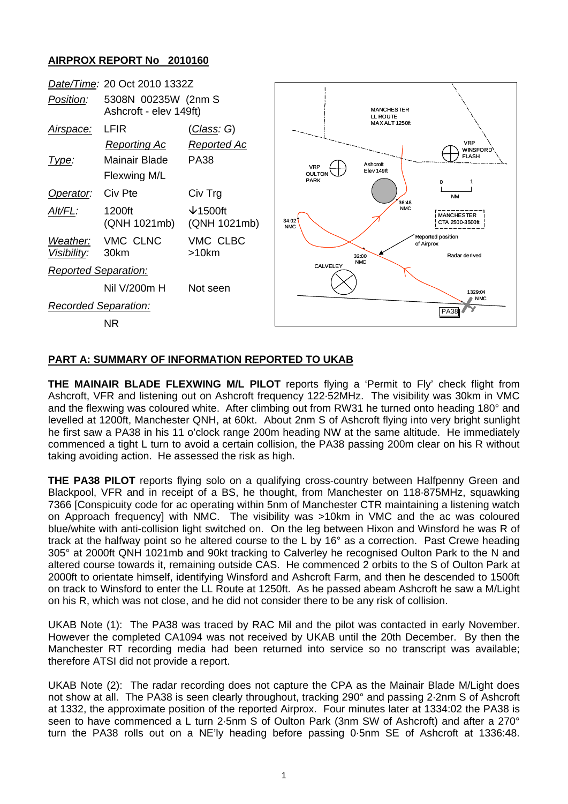## **AIRPROX REPORT No 2010160**



## **PART A: SUMMARY OF INFORMATION REPORTED TO UKAB**

**THE MAINAIR BLADE FLEXWING M/L PILOT** reports flying a 'Permit to Fly' check flight from Ashcroft, VFR and listening out on Ashcroft frequency 122·52MHz. The visibility was 30km in VMC and the flexwing was coloured white. After climbing out from RW31 he turned onto heading 180° and levelled at 1200ft, Manchester QNH, at 60kt. About 2nm S of Ashcroft flying into very bright sunlight he first saw a PA38 in his 11 o'clock range 200m heading NW at the same altitude. He immediately commenced a tight L turn to avoid a certain collision, the PA38 passing 200m clear on his R without taking avoiding action. He assessed the risk as high.

**THE PA38 PILOT** reports flying solo on a qualifying cross-country between Halfpenny Green and Blackpool, VFR and in receipt of a BS, he thought, from Manchester on 118·875MHz, squawking 7366 [Conspicuity code for ac operating within 5nm of Manchester CTR maintaining a listening watch on Approach frequency] with NMC. The visibility was >10km in VMC and the ac was coloured blue/white with anti-collision light switched on. On the leg between Hixon and Winsford he was R of track at the halfway point so he altered course to the L by 16° as a correction. Past Crewe heading 305° at 2000ft QNH 1021mb and 90kt tracking to Calverley he recognised Oulton Park to the N and altered course towards it, remaining outside CAS. He commenced 2 orbits to the S of Oulton Park at 2000ft to orientate himself, identifying Winsford and Ashcroft Farm, and then he descended to 1500ft on track to Winsford to enter the LL Route at 1250ft. As he passed abeam Ashcroft he saw a M/Light on his R, which was not close, and he did not consider there to be any risk of collision.

UKAB Note (1): The PA38 was traced by RAC Mil and the pilot was contacted in early November. However the completed CA1094 was not received by UKAB until the 20th December. By then the Manchester RT recording media had been returned into service so no transcript was available; therefore ATSI did not provide a report.

UKAB Note (2): The radar recording does not capture the CPA as the Mainair Blade M/Light does not show at all. The PA38 is seen clearly throughout, tracking 290° and passing 2·2nm S of Ashcroft at 1332, the approximate position of the reported Airprox. Four minutes later at 1334:02 the PA38 is seen to have commenced a L turn 2·5nm S of Oulton Park (3nm SW of Ashcroft) and after a 270° turn the PA38 rolls out on a NE'ly heading before passing 0·5nm SE of Ashcroft at 1336:48.